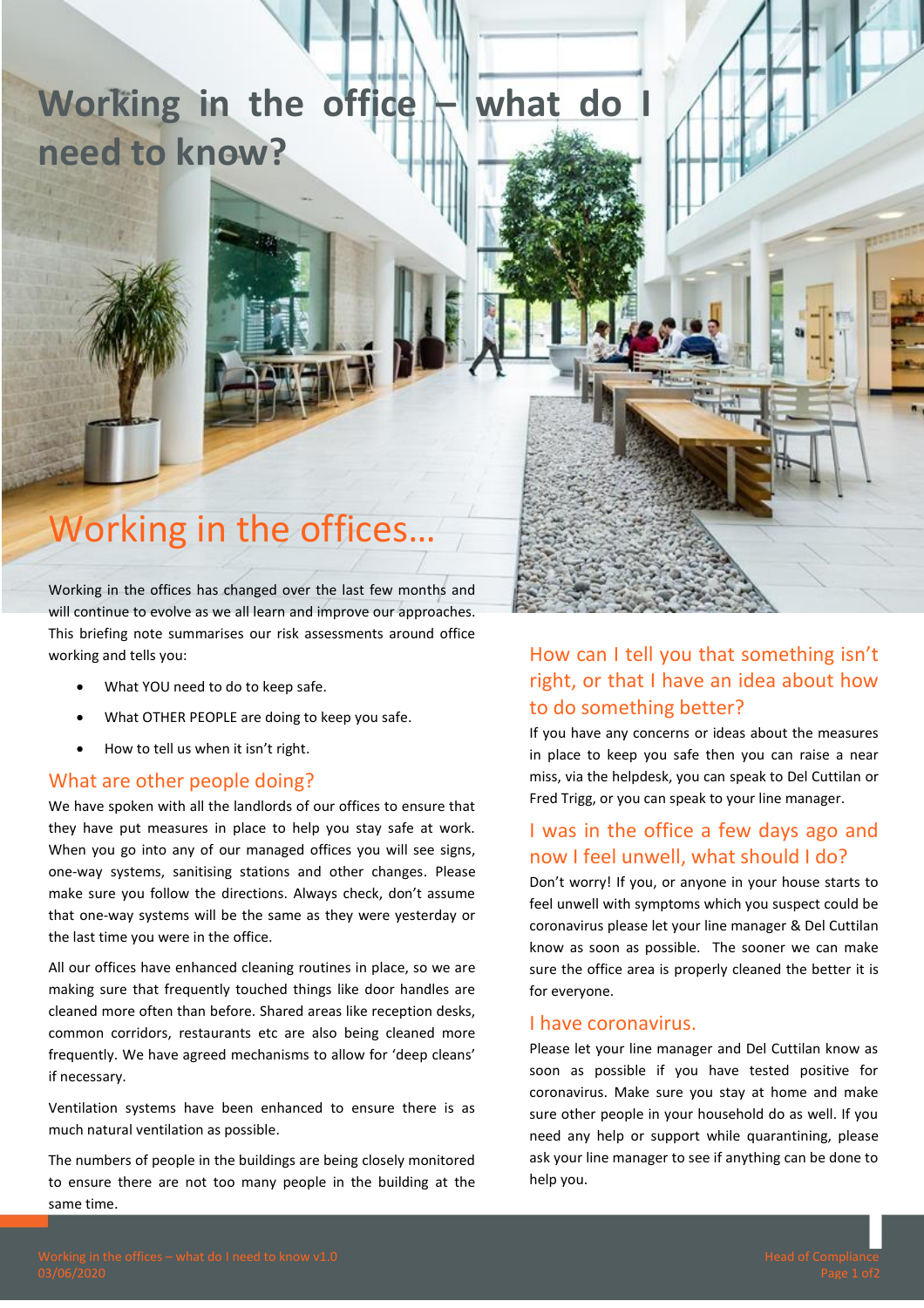# **Working in the office – what do I need to know?**

# Working in the offices…

Working in the offices has changed over the last few months and will continue to evolve as we all learn and improve our approaches. This briefing note summarises our risk assessments around office working and tells you:

- What YOU need to do to keep safe.
- What OTHER PEOPLE are doing to keep you safe.
- How to tell us when it isn't right.

#### What are other people doing?

We have spoken with all the landlords of our offices to ensure that they have put measures in place to help you stay safe at work. When you go into any of our managed offices you will see signs, one-way systems, sanitising stations and other changes. Please make sure you follow the directions. Always check, don't assume that one-way systems will be the same as they were yesterday or the last time you were in the office.

All our offices have enhanced cleaning routines in place, so we are making sure that frequently touched things like door handles are cleaned more often than before. Shared areas like reception desks, common corridors, restaurants etc are also being cleaned more frequently. We have agreed mechanisms to allow for 'deep cleans' if necessary.

Ventilation systems have been enhanced to ensure there is as much natural ventilation as possible.

The numbers of people in the buildings are being closely monitored to ensure there are not too many people in the building at the same time.

# How can I tell you that something isn't right, or that I have an idea about how to do something better?

If you have any concerns or ideas about the measures in place to keep you safe then you can raise a near miss, via the helpdesk, you can speak to Del Cuttilan or Fred Trigg, or you can speak to your line manager.

# I was in the office a few days ago and now I feel unwell, what should I do?

Don't worry! If you, or anyone in your house starts to feel unwell with symptoms which you suspect could be coronavirus please let your line manager & Del Cuttilan know as soon as possible. The sooner we can make sure the office area is properly cleaned the better it is for everyone.

#### I have coronavirus.

Please let your line manager and Del Cuttilan know as soon as possible if you have tested positive for coronavirus. Make sure you stay at home and make sure other people in your household do as well. If you need any help or support while quarantining, please ask your line manager to see if anything can be done to help you.